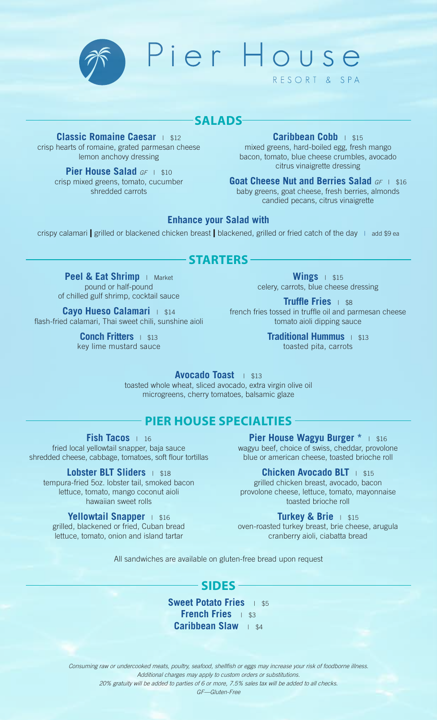

Pier House

# **SALADS**

**Classic Romaine Caesar** | \$12 crisp hearts of romaine, grated parmesan cheese lemon anchovy dressing

> **Pier House Salad GF | \$10** crisp mixed greens, tomato, cucumber shredded carrots

**Caribbean Cobb** | \$15 mixed greens, hard-boiled egg, fresh mango bacon, tomato, blue cheese crumbles, avocado citrus vinaigrette dressing

RESORT & SPA

**Goat Cheese Nut and Berries Salad GF | \$16** baby greens, goat cheese, fresh berries, almonds candied pecans, citrus vinaigrette

## **Enhance your Salad with**

crispy calamari **|** grilled or blackened chicken breast **|** blackened, grilled or fried catch of the day <sup>|</sup> add \$9 ea

## **STARTERS**

**Peel & Eat Shrimp** | Market pound or half-pound of chilled gulf shrimp, cocktail sauce

**Cayo Hueso Calamari** | \$14 flash-fried calamari, Thai sweet chili, sunshine aioli

> **Conch Fritters** | \$13 key lime mustard sauce

**Wings** | \$15 celery, carrots, blue cheese dressing

**Truffle Fries** | \$8 french fries tossed in truffle oil and parmesan cheese tomato aioli dipping sauce

> **Traditional Hummus** | \$13 toasted pita, carrots

**Avocado Toast** | \$13 toasted whole wheat, sliced avocado, extra virgin olive oil microgreens, cherry tomatoes, balsamic glaze

# **PIER HOUSE SPECIALTIES**

**Fish Tacos** <sup>|</sup> <sup>16</sup>

fried local yellowtail snapper, baja sauce shredded cheese, cabbage, tomatoes, soft flour tortillas

**Lobster BLT Sliders** | \$18 tempura-fried 5oz. lobster tail, smoked bacon lettuce, tomato, mango coconut aioli hawaiian sweet rolls

### **Yellowtail Snapper** | \$16

grilled, blackened or fried, Cuban bread lettuce, tomato, onion and island tartar

**Pier House Wagyu Burger \*** | \$16 wagyu beef, choice of swiss, cheddar, provolone blue or american cheese, toasted brioche roll

**Chicken Avocado BLT** | \$15 grilled chicken breast, avocado, bacon provolone cheese, lettuce, tomato, mayonnaise toasted brioche roll

**Turkey & Brie** | \$15

oven-roasted turkey breast, brie cheese, arugula cranberry aioli, ciabatta bread

All sandwiches are available on gluten-free bread upon request

# **SIDES**

**Sweet Potato Fries** | \$5 **French Fries** | \$3 **Caribbean Slaw** | \$4

Consuming raw or undercooked meats, poultry, seafood, shellfish or eggs may increase your risk of foodborne illness. Additional charges may apply to custom orders or substitutions.

20% gratuity will be added to parties of 6 or more, 7.5% sales tax will be added to all checks.

GF—Gluten-Free